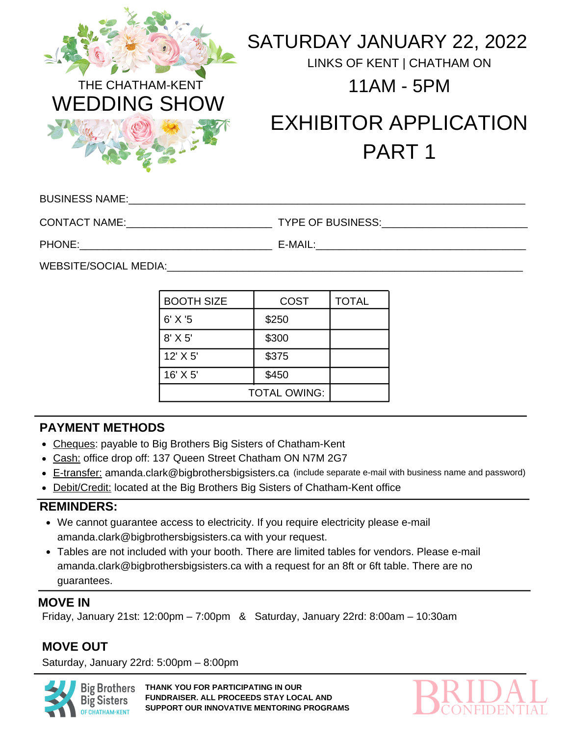

## SATURDAY JANUARY 22, 2022

LINKS OF KENT | CHATHAM ON



## EXHIBITOR APPLICATION PART 1

| <b>BUSINESS NAME:</b> |  |
|-----------------------|--|
|                       |  |

CONTACT NAME:\_\_\_\_\_\_\_\_\_\_\_\_\_\_\_\_\_\_\_\_\_\_\_\_\_ TYPE OF BUSINESS:\_\_\_\_\_\_\_\_\_\_\_\_\_\_\_\_\_\_\_\_\_\_\_\_\_

PHONE: The contract of the contract of the contract of the contract of the contract of the contract of the contract of the contract of the contract of the contract of the contract of the contract of the contract of the con

WEBSITE/SOCIAL MEDIA: WEBSITE

| <b>BOOTH SIZE</b>   | <b>COST</b> | <b>TOTAL</b> |
|---------------------|-------------|--------------|
| $6'$ X '5           | \$250       |              |
| $8'$ X 5'           | \$300       |              |
| 12' X 5'            | \$375       |              |
| 16' X 5'            | \$450       |              |
| <b>TOTAL OWING:</b> |             |              |

## **PAYMENT METHODS**

- Cheques: payable to Big Brothers Big Sisters of Chatham-Kent
- Cash: office drop off: 137 Queen Street Chatham ON N7M 2G7
- E-transfer: amanda.clark@bigbrothersbigsisters.ca (include separate e-mail with business name and password)
- Debit/Credit: located at the Big Brothers Big Sisters of Chatham-Kent office

## **REMINDERS:**

- We cannot guarantee access to electricity. If you require electricity please e-mail amanda.clark@bigbrothersbigsisters.ca with your request.
- Tables are not included with your booth. There are limited tables for vendors. Please e-mail amanda.clark@bigbrothersbigsisters.ca with a request for an 8ft or 6ft table. There are no guarantees.

## **MOVE IN**

Friday, January 21st: 12:00pm – 7:00pm & Saturday, January 22rd: 8:00am – 10:30am

## **MOVE OUT**

Saturday, January 22rd: 5:00pm – 8:00pm



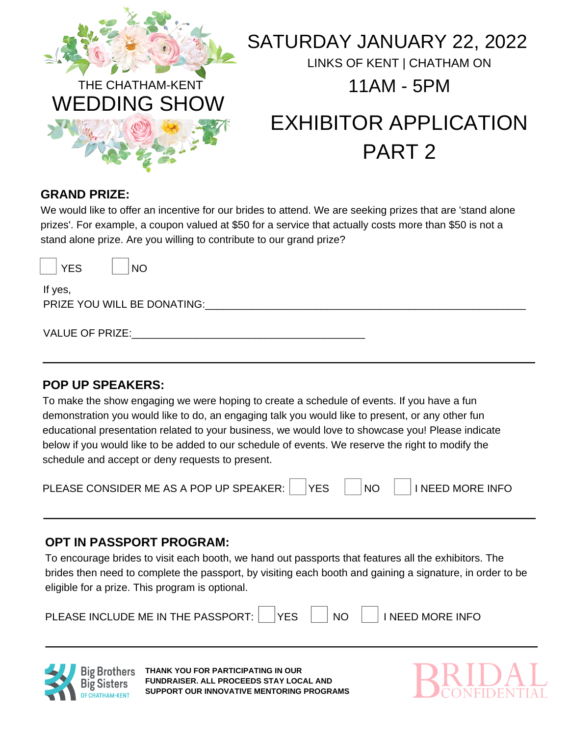

WEDDING SHOW

## SATURDAY JANUARY 22, 2022

LINKS OF KENT | CHATHAM ON

# EXHIBITOR APPLICATION PART 2

## **GRAND PRIZE:**

We would like to offer an incentive for our brides to attend. We are seeking prizes that are 'stand alone prizes'. For example, a coupon valued at \$50 for a service that actually costs more than \$50 is not a stand alone prize. Are you willing to contribute to our grand prize?

YES NO

If yes, PRIZE YOU WILL BE DONATING:

VALUE OF PRIZE:

## **POP UP SPEAKERS:**

To make the show engaging we were hoping to create a schedule of events. If you have a fun demonstration you would like to do, an engaging talk you would like to present, or any other fun educational presentation related to your business, we would love to showcase you! Please indicate below if you would like to be added to our schedule of events. We reserve the right to modify the schedule and accept or deny requests to present.

| PLEASE CONSIDER ME AS A POP UP SPEAKER: |  |  |  | NC. |  | $\mathbin{\mathsf{I}}$ I NEED MORE INFO |
|-----------------------------------------|--|--|--|-----|--|-----------------------------------------|
|-----------------------------------------|--|--|--|-----|--|-----------------------------------------|

## **OPT IN PASSPORT PROGRAM:**

To encourage brides to visit each booth, we hand out passports that features all the exhibitors. The brides then need to complete the passport, by visiting each booth and gaining a signature, in order to be eligible for a prize. This program is optional.

| PLEASE INCLUDE ME IN THE PASSPORT: |  | <b>YFS</b> |  | NC |  | <b>INEED MORE INFO</b> |
|------------------------------------|--|------------|--|----|--|------------------------|
|------------------------------------|--|------------|--|----|--|------------------------|



**THANK YOU FOR PARTICIPATING IN OUR FUNDRAISER. ALL PROCEEDS STAY LOCAL AND SUPPORT OUR INNOVATIVE MENTORING PROGRAMS**